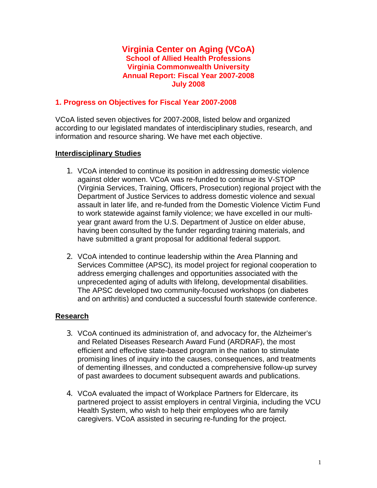### **Virginia Center on Aging (VCoA) School of Allied Health Professions Virginia Commonwealth University Annual Report: Fiscal Year 2007-2008 July 2008**

### **1. Progress on Objectives for Fiscal Year 2007-2008**

VCoA listed seven objectives for 2007-2008, listed below and organized according to our legislated mandates of interdisciplinary studies, research, and information and resource sharing. We have met each objective.

## **Interdisciplinary Studies**

- 1. VCoA intended to continue its position in addressing domestic violence against older women. VCoA was re-funded to continue its V-STOP (Virginia Services, Training, Officers, Prosecution) regional project with the Department of Justice Services to address domestic violence and sexual assault in later life, and re-funded from the Domestic Violence Victim Fund to work statewide against family violence; we have excelled in our multiyear grant award from the U.S. Department of Justice on elder abuse, having been consulted by the funder regarding training materials, and have submitted a grant proposal for additional federal support.
- 2. VCoA intended to continue leadership within the Area Planning and Services Committee (APSC), its model project for regional cooperation to address emerging challenges and opportunities associated with the unprecedented aging of adults with lifelong, developmental disabilities. The APSC developed two community-focused workshops (on diabetes and on arthritis) and conducted a successful fourth statewide conference.

## **Research**

- 3. VCoA continued its administration of, and advocacy for, the Alzheimer's and Related Diseases Research Award Fund (ARDRAF), the most efficient and effective state-based program in the nation to stimulate promising lines of inquiry into the causes, consequences, and treatments of dementing illnesses, and conducted a comprehensive follow-up survey of past awardees to document subsequent awards and publications.
- 4. VCoA evaluated the impact of Workplace Partners for Eldercare, its partnered project to assist employers in central Virginia, including the VCU Health System, who wish to help their employees who are family caregivers. VCoA assisted in securing re-funding for the project.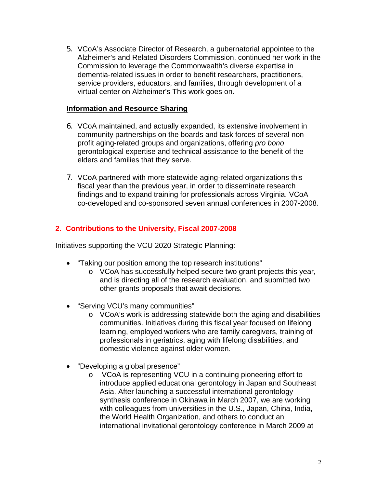5. VCoA's Associate Director of Research, a gubernatorial appointee to the Alzheimer's and Related Disorders Commission, continued her work in the Commission to leverage the Commonwealth's diverse expertise in dementia-related issues in order to benefit researchers, practitioners, service providers, educators, and families, through development of a virtual center on Alzheimer's This work goes on.

## **Information and Resource Sharing**

- 6. VCoA maintained, and actually expanded, its extensive involvement in community partnerships on the boards and task forces of several nonprofit aging-related groups and organizations, offering *pro bono* gerontological expertise and technical assistance to the benefit of the elders and families that they serve.
- 7. VCoA partnered with more statewide aging-related organizations this fiscal year than the previous year, in order to disseminate research findings and to expand training for professionals across Virginia. VCoA co-developed and co-sponsored seven annual conferences in 2007-2008.

## **2. Contributions to the University, Fiscal 2007-2008**

Initiatives supporting the VCU 2020 Strategic Planning:

- "Taking our position among the top research institutions"
	- o VCoA has successfully helped secure two grant projects this year, and is directing all of the research evaluation, and submitted two other grants proposals that await decisions.
- "Serving VCU's many communities"
	- o VCoA's work is addressing statewide both the aging and disabilities communities. Initiatives during this fiscal year focused on lifelong learning, employed workers who are family caregivers, training of professionals in geriatrics, aging with lifelong disabilities, and domestic violence against older women.
- "Developing a global presence"
	- o VCoA is representing VCU in a continuing pioneering effort to introduce applied educational gerontology in Japan and Southeast Asia. After launching a successful international gerontology synthesis conference in Okinawa in March 2007, we are working with colleagues from universities in the U.S., Japan, China, India, the World Health Organization, and others to conduct an international invitational gerontology conference in March 2009 at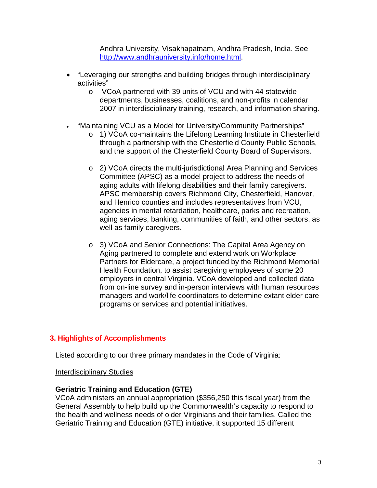Andhra University, Visakhapatnam, Andhra Pradesh, India. See [http://www.andhrauniversity.info/home.html.](http://www.andhrauniversity.info/home.html)

- "Leveraging our strengths and building bridges through interdisciplinary activities"
	- o VCoA partnered with 39 units of VCU and with 44 statewide departments, businesses, coalitions, and non-profits in calendar 2007 in interdisciplinary training, research, and information sharing.
- "Maintaining VCU as a Model for University/Community Partnerships"
	- o 1) VCoA co-maintains the Lifelong Learning Institute in Chesterfield through a partnership with the Chesterfield County Public Schools, and the support of the Chesterfield County Board of Supervisors.
	- o 2) VCoA directs the multi-jurisdictional Area Planning and Services Committee (APSC) as a model project to address the needs of aging adults with lifelong disabilities and their family caregivers. APSC membership covers Richmond City, Chesterfield, Hanover, and Henrico counties and includes representatives from VCU, agencies in mental retardation, healthcare, parks and recreation, aging services, banking, communities of faith, and other sectors, as well as family caregivers.
	- o 3) VCoA and Senior Connections: The Capital Area Agency on Aging partnered to complete and extend work on Workplace Partners for Eldercare, a project funded by the Richmond Memorial Health Foundation, to assist caregiving employees of some 20 employers in central Virginia. VCoA developed and collected data from on-line survey and in-person interviews with human resources managers and work/life coordinators to determine extant elder care programs or services and potential initiatives.

# **3. Highlights of Accomplishments**

Listed according to our three primary mandates in the Code of Virginia:

Interdisciplinary Studies

#### **Geriatric Training and Education (GTE)**

VCoA administers an annual appropriation (\$356,250 this fiscal year) from the General Assembly to help build up the Commonwealth's capacity to respond to the health and wellness needs of older Virginians and their families. Called the Geriatric Training and Education (GTE) initiative, it supported 15 different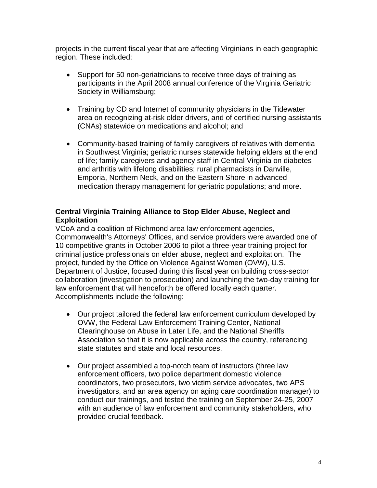projects in the current fiscal year that are affecting Virginians in each geographic region. These included:

- Support for 50 non-geriatricians to receive three days of training as participants in the April 2008 annual conference of the Virginia Geriatric Society in Williamsburg;
- Training by CD and Internet of community physicians in the Tidewater area on recognizing at-risk older drivers, and of certified nursing assistants (CNAs) statewide on medications and alcohol; and
- Community-based training of family caregivers of relatives with dementia in Southwest Virginia; geriatric nurses statewide helping elders at the end of life; family caregivers and agency staff in Central Virginia on diabetes and arthritis with lifelong disabilities; rural pharmacists in Danville, Emporia, Northern Neck, and on the Eastern Shore in advanced medication therapy management for geriatric populations; and more.

## **Central Virginia Training Alliance to Stop Elder Abuse, Neglect and Exploitation**

VCoA and a coalition of Richmond area law enforcement agencies, Commonwealth's Attorneys' Offices, and service providers were awarded one of 10 competitive grants in October 2006 to pilot a three-year training project for criminal justice professionals on elder abuse, neglect and exploitation. The project, funded by the Office on Violence Against Women (OVW), U.S. Department of Justice, focused during this fiscal year on building cross-sector collaboration (investigation to prosecution) and launching the two-day training for law enforcement that will henceforth be offered locally each quarter. Accomplishments include the following:

- Our project tailored the federal law enforcement curriculum developed by OVW, the Federal Law Enforcement Training Center, National Clearinghouse on Abuse in Later Life, and the National Sheriffs Association so that it is now applicable across the country, referencing state statutes and state and local resources.
- Our project assembled a top-notch team of instructors (three law enforcement officers, two police department domestic violence coordinators, two prosecutors, two victim service advocates, two APS investigators, and an area agency on aging care coordination manager) to conduct our trainings, and tested the training on September 24-25, 2007 with an audience of law enforcement and community stakeholders, who provided crucial feedback.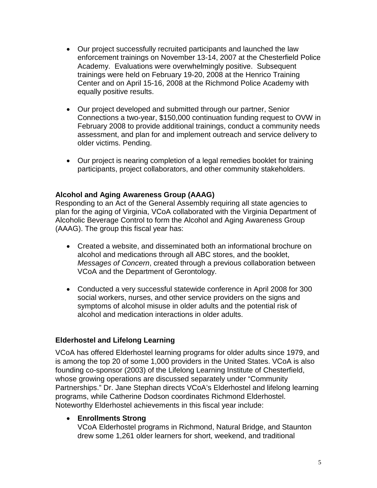- Our project successfully recruited participants and launched the law enforcement trainings on November 13-14, 2007 at the Chesterfield Police Academy. Evaluations were overwhelmingly positive. Subsequent trainings were held on February 19-20, 2008 at the Henrico Training Center and on April 15-16, 2008 at the Richmond Police Academy with equally positive results.
- Our project developed and submitted through our partner, Senior Connections a two-year, \$150,000 continuation funding request to OVW in February 2008 to provide additional trainings, conduct a community needs assessment, and plan for and implement outreach and service delivery to older victims. Pending.
- Our project is nearing completion of a legal remedies booklet for training participants, project collaborators, and other community stakeholders.

## **Alcohol and Aging Awareness Group (AAAG)**

Responding to an Act of the General Assembly requiring all state agencies to plan for the aging of Virginia, VCoA collaborated with the Virginia Department of Alcoholic Beverage Control to form the Alcohol and Aging Awareness Group (AAAG). The group this fiscal year has:

- Created a website, and disseminated both an informational brochure on alcohol and medications through all ABC stores, and the booklet, *Messages of Concern*, created through a previous collaboration between VCoA and the Department of Gerontology.
- Conducted a very successful statewide conference in April 2008 for 300 social workers, nurses, and other service providers on the signs and symptoms of alcohol misuse in older adults and the potential risk of alcohol and medication interactions in older adults.

#### **Elderhostel and Lifelong Learning**

VCoA has offered Elderhostel learning programs for older adults since 1979, and is among the top 20 of some 1,000 providers in the United States. VCoA is also founding co-sponsor (2003) of the Lifelong Learning Institute of Chesterfield, whose growing operations are discussed separately under "Community Partnerships." Dr. Jane Stephan directs VCoA's Elderhostel and lifelong learning programs, while Catherine Dodson coordinates Richmond Elderhostel. Noteworthy Elderhostel achievements in this fiscal year include:

#### • **Enrollments Strong**

VCoA Elderhostel programs in Richmond, Natural Bridge, and Staunton drew some 1,261 older learners for short, weekend, and traditional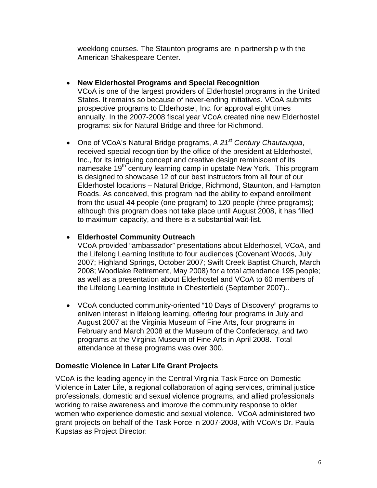weeklong courses. The Staunton programs are in partnership with the American Shakespeare Center.

## • **New Elderhostel Programs and Special Recognition**

VCoA is one of the largest providers of Elderhostel programs in the United States. It remains so because of never-ending initiatives. VCoA submits prospective programs to Elderhostel, Inc. for approval eight times annually. In the 2007-2008 fiscal year VCoA created nine new Elderhostel programs: six for Natural Bridge and three for Richmond.

• One of VCoA's Natural Bridge programs, *A 21st Century Chautauqua*, received special recognition by the office of the president at Elderhostel, Inc., for its intriguing concept and creative design reminiscent of its namesake 19<sup>th</sup> century learning camp in upstate New York. This program is designed to showcase 12 of our best instructors from all four of our Elderhostel locations – Natural Bridge, Richmond, Staunton, and Hampton Roads. As conceived, this program had the ability to expand enrollment from the usual 44 people (one program) to 120 people (three programs); although this program does not take place until August 2008, it has filled to maximum capacity, and there is a substantial wait-list.

## • **Elderhostel Community Outreach**

VCoA provided "ambassador" presentations about Elderhostel, VCoA, and the Lifelong Learning Institute to four audiences (Covenant Woods, July 2007; Highland Springs, October 2007; Swift Creek Baptist Church, March 2008; Woodlake Retirement, May 2008) for a total attendance 195 people; as well as a presentation about Elderhostel and VCoA to 60 members of the Lifelong Learning Institute in Chesterfield (September 2007)..

• VCoA conducted community-oriented "10 Days of Discovery" programs to enliven interest in lifelong learning, offering four programs in July and August 2007 at the Virginia Museum of Fine Arts, four programs in February and March 2008 at the Museum of the Confederacy, and two programs at the Virginia Museum of Fine Arts in April 2008. Total attendance at these programs was over 300.

## **Domestic Violence in Later Life Grant Projects**

VCoA is the leading agency in the Central Virginia Task Force on Domestic Violence in Later Life, a regional collaboration of aging services, criminal justice professionals, domestic and sexual violence programs, and allied professionals working to raise awareness and improve the community response to older women who experience domestic and sexual violence. VCoA administered two grant projects on behalf of the Task Force in 2007-2008, with VCoA's Dr. Paula Kupstas as Project Director: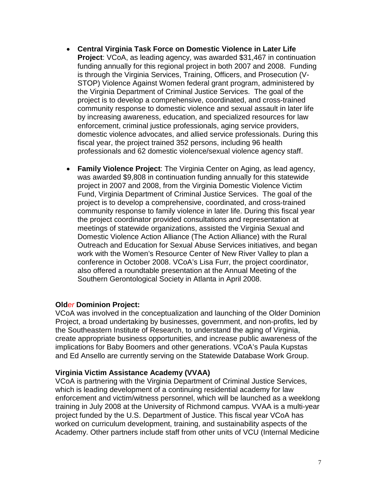- **Central Virginia Task Force on Domestic Violence in Later Life Project**: VCoA, as leading agency, was awarded \$31,467 in continuation funding annually for this regional project in both 2007 and 2008. Funding is through the Virginia Services, Training, Officers, and Prosecution (V-STOP) Violence Against Women federal grant program, administered by the Virginia Department of Criminal Justice Services. The goal of the project is to develop a comprehensive, coordinated, and cross-trained community response to domestic violence and sexual assault in later life by increasing awareness, education, and specialized resources for law enforcement, criminal justice professionals, aging service providers, domestic violence advocates, and allied service professionals. During this fiscal year, the project trained 352 persons, including 96 health professionals and 62 domestic violence/sexual violence agency staff.
- **Family Violence Project**: The Virginia Center on Aging, as lead agency, was awarded \$9,808 in continuation funding annually for this statewide project in 2007 and 2008, from the Virginia Domestic Violence Victim Fund, Virginia Department of Criminal Justice Services. The goal of the project is to develop a comprehensive, coordinated, and cross-trained community response to family violence in later life. During this fiscal year the project coordinator provided consultations and representation at meetings of statewide organizations, assisted the Virginia Sexual and Domestic Violence Action Alliance (The Action Alliance) with the Rural Outreach and Education for Sexual Abuse Services initiatives, and began work with the Women's Resource Center of New River Valley to plan a conference in October 2008. VCoA's Lisa Furr, the project coordinator, also offered a roundtable presentation at the Annual Meeting of the Southern Gerontological Society in Atlanta in April 2008.

#### **Old***er* **Dominion Project:**

VCoA was involved in the conceptualization and launching of the Old*er* Dominion Project, a broad undertaking by businesses, government, and non-profits, led by the Southeastern Institute of Research, to understand the aging of Virginia, create appropriate business opportunities, and increase public awareness of the implications for Baby Boomers and other generations. VCoA's Paula Kupstas and Ed Ansello are currently serving on the Statewide Database Work Group.

#### **Virginia Victim Assistance Academy (VVAA)**

VCoA is partnering with the Virginia Department of Criminal Justice Services, which is leading development of a continuing residential academy for law enforcement and victim/witness personnel, which will be launched as a weeklong training in July 2008 at the University of Richmond campus. VVAA is a multi-year project funded by the U.S. Department of Justice. This fiscal year VCoA has worked on curriculum development, training, and sustainability aspects of the Academy. Other partners include staff from other units of VCU (Internal Medicine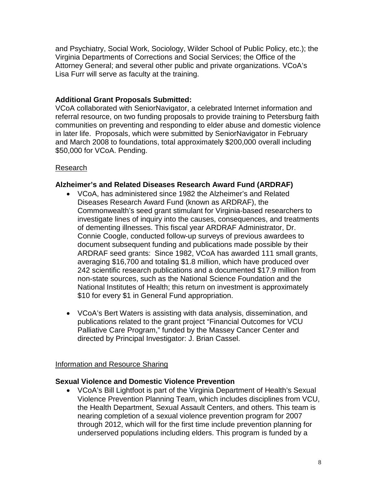and Psychiatry, Social Work, Sociology, Wilder School of Public Policy, etc.); the Virginia Departments of Corrections and Social Services; the Office of the Attorney General; and several other public and private organizations. VCoA's Lisa Furr will serve as faculty at the training.

## **Additional Grant Proposals Submitted:**

VCoA collaborated with SeniorNavigator, a celebrated Internet information and referral resource, on two funding proposals to provide training to Petersburg faith communities on preventing and responding to elder abuse and domestic violence in later life. Proposals, which were submitted by SeniorNavigator in February and March 2008 to foundations, total approximately \$200,000 overall including \$50,000 for VCoA. Pending.

## Research

#### **Alzheimer's and Related Diseases Research Award Fund (ARDRAF)**

- VCoA, has administered since 1982 the Alzheimer's and Related Diseases Research Award Fund (known as ARDRAF), the Commonwealth's seed grant stimulant for Virginia-based researchers to investigate lines of inquiry into the causes, consequences, and treatments of dementing illnesses. This fiscal year ARDRAF Administrator, Dr. Connie Coogle, conducted follow-up surveys of previous awardees to document subsequent funding and publications made possible by their ARDRAF seed grants: Since 1982, VCoA has awarded 111 small grants, averaging \$16,700 and totaling \$1.8 million, which have produced over 242 scientific research publications and a documented \$17.9 million from non-state sources, such as the National Science Foundation and the National Institutes of Health; this return on investment is approximately \$10 for every \$1 in General Fund appropriation.
- VCoA's Bert Waters is assisting with data analysis, dissemination, and publications related to the grant project "Financial Outcomes for VCU Palliative Care Program," funded by the Massey Cancer Center and directed by Principal Investigator: J. Brian Cassel.

#### Information and Resource Sharing

#### **Sexual Violence and Domestic Violence Prevention**

• VCoA's Bill Lightfoot is part of the Virginia Department of Health's Sexual Violence Prevention Planning Team, which includes disciplines from VCU, the Health Department, Sexual Assault Centers, and others. This team is nearing completion of a sexual violence prevention program for 2007 through 2012, which will for the first time include prevention planning for underserved populations including elders. This program is funded by a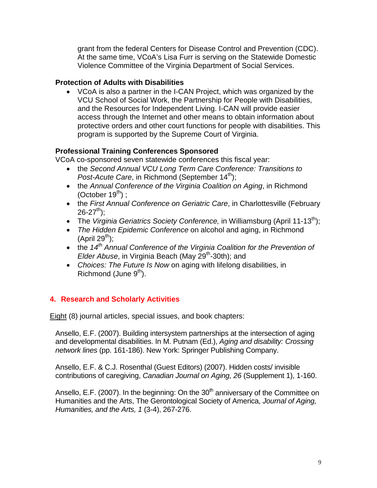grant from the federal Centers for Disease Control and Prevention (CDC). At the same time, VCoA's Lisa Furr is serving on the Statewide Domestic Violence Committee of the Virginia Department of Social Services.

## **Protection of Adults with Disabilities**

• VCoA is also a partner in the I-CAN Project, which was organized by the VCU School of Social Work, the Partnership for People with Disabilities, and the Resources for Independent Living. I-CAN will provide easier access through the Internet and other means to obtain information about protective orders and other court functions for people with disabilities. This program is supported by the Supreme Court of Virginia.

## **Professional Training Conferences Sponsored**

VCoA co-sponsored seven statewide conferences this fiscal year:

- the *Second Annual VCU Long Term Care Conference: Transitions to Post-Acute Care*, in Richmond (September 14<sup>th</sup>);
- the *Annual Conference of the Virginia Coalition on Aging*, in Richmond (October  $19^{th}$ ) ;
- the *First Annual Conference on Geriatric Care*, in Charlottesville (February  $26 - 27$ <sup>th</sup>);
- The *Virginia Geriatrics Society Conference*, in Williamsburg (April 11-13<sup>th</sup>);
- *The Hidden Epidemic Conference* on alcohol and aging, in Richmond  $(A$ pril 29<sup>th</sup>):
- the *14th Annual Conference of the Virginia Coalition for the Prevention of Elder Abuse*, in Virginia Beach (May 29<sup>th</sup>-30th); and
- *Choices: The Future Is Now* on aging with lifelong disabilities, in Richmond (June  $9<sup>th</sup>$ ).

# **4. Research and Scholarly Activities**

Eight (8) journal articles, special issues, and book chapters:

Ansello, E.F. (2007). Building intersystem partnerships at the intersection of aging and developmental disabilities. In M. Putnam (Ed.), *Aging and disability: Crossing network lines* (pp. 161-186). New York: Springer Publishing Company.

Ansello, E.F. & C.J. Rosenthal (Guest Editors) (2007). Hidden costs/ invisible contributions of caregiving, *Canadian Journal on Aging, 26* (Supplement 1), 1-160.

Ansello, E.F. (2007). In the beginning: On the  $30<sup>th</sup>$  anniversary of the Committee on Humanities and the Arts, The Gerontological Society of America, *Journal of Aging, Humanities, and the Arts, 1* (3-4), 267-276.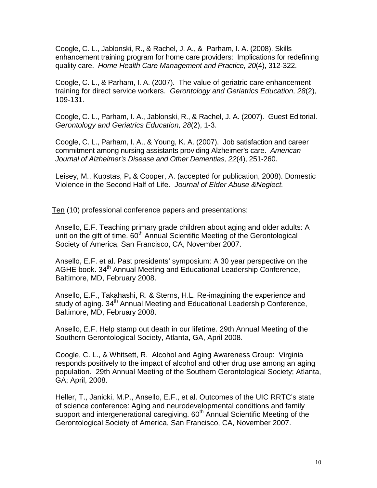Coogle, C. L., Jablonski, R., & Rachel, J. A., & Parham, I. A. (2008). Skills enhancement training program for home care providers: Implications for redefining quality care. *Home Health Care Management and Practice, 20*(4), 312-322.

Coogle, C. L., & Parham, I. A. (2007). The value of geriatric care enhancement training for direct service workers. *Gerontology and Geriatrics Education, 28*(2), 109-131.

Coogle, C. L., Parham, I. A., Jablonski, R., & Rachel, J. A. (2007). Guest Editorial. *Gerontology and Geriatrics Education, 28*(2), 1-3.

Coogle, C. L., Parham, I. A., & Young, K. A. (2007). Job satisfaction and career commitment among nursing assistants providing Alzheimer's care. *American Journal of Alzheimer's Disease and Other Dementias, 22*(4), 251-260.

Leisey, M., Kupstas, P**,** & Cooper, A. (accepted for publication, 2008). Domestic Violence in the Second Half of Life.*Journal of Elder Abuse &Neglect.*

Ten (10) professional conference papers and presentations:

Ansello, E.F. Teaching primary grade children about aging and older adults: A unit on the gift of time.  $60<sup>th</sup>$  Annual Scientific Meeting of the Gerontological Society of America, San Francisco, CA, November 2007.

Ansello, E.F. et al. Past presidents' symposium: A 30 year perspective on the AGHE book. 34<sup>th</sup> Annual Meeting and Educational Leadership Conference, Baltimore, MD, February 2008.

Ansello, E.F., Takahashi, R. & Sterns, H.L. Re-imagining the experience and study of aging. 34<sup>th</sup> Annual Meeting and Educational Leadership Conference, Baltimore, MD, February 2008.

Ansello, E.F. Help stamp out death in our lifetime. 29th Annual Meeting of the Southern Gerontological Society, Atlanta, GA, April 2008.

Coogle, C. L., & Whitsett, R. Alcohol and Aging Awareness Group: Virginia responds positively to the impact of alcohol and other drug use among an aging population. 29th Annual Meeting of the Southern Gerontological Society; Atlanta, GA; April, 2008.

Heller, T., Janicki, M.P., Ansello, E.F., et al. Outcomes of the UIC RRTC's state of science conference: Aging and neurodevelopmental conditions and family support and intergenerational caregiving. 60<sup>th</sup> Annual Scientific Meeting of the Gerontological Society of America, San Francisco, CA, November 2007.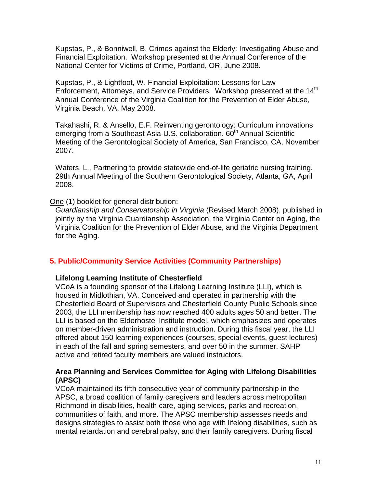Kupstas, P., & Bonniwell, B. Crimes against the Elderly: Investigating Abuse and Financial Exploitation. Workshop presented at the Annual Conference of the National Center for Victims of Crime, Portland, OR, June 2008.

Kupstas, P., & Lightfoot, W. Financial Exploitation: Lessons for Law Enforcement, Attorneys, and Service Providers. Workshop presented at the 14<sup>th</sup> Annual Conference of the Virginia Coalition for the Prevention of Elder Abuse, Virginia Beach, VA, May 2008.

Takahashi, R. & Ansello, E.F. Reinventing gerontology: Curriculum innovations emerging from a Southeast Asia-U.S. collaboration. 60<sup>th</sup> Annual Scientific Meeting of the Gerontological Society of America, San Francisco, CA, November 2007.

Waters, L., Partnering to provide statewide end-of-life geriatric nursing training. 29th Annual Meeting of the Southern Gerontological Society, Atlanta, GA, April 2008.

#### One (1) booklet for general distribution:

*Guardianship and Conservatorship in Virginia* (Revised March 2008), published in jointly by the Virginia Guardianship Association, the Virginia Center on Aging, the Virginia Coalition for the Prevention of Elder Abuse, and the Virginia Department for the Aging.

#### **5. Public/Community Service Activities (Community Partnerships)**

#### **Lifelong Learning Institute of Chesterfield**

VCoA is a founding sponsor of the Lifelong Learning Institute (LLI), which is housed in Midlothian, VA. Conceived and operated in partnership with the Chesterfield Board of Supervisors and Chesterfield County Public Schools since 2003, the LLI membership has now reached 400 adults ages 50 and better. The LLI is based on the Elderhostel Institute model, which emphasizes and operates on member-driven administration and instruction. During this fiscal year, the LLI offered about 150 learning experiences (courses, special events, guest lectures) in each of the fall and spring semesters, and over 50 in the summer. SAHP active and retired faculty members are valued instructors.

#### **Area Planning and Services Committee for Aging with Lifelong Disabilities (APSC)**

VCoA maintained its fifth consecutive year of community partnership in the APSC, a broad coalition of family caregivers and leaders across metropolitan Richmond in disabilities, health care, aging services, parks and recreation, communities of faith, and more. The APSC membership assesses needs and designs strategies to assist both those who age with lifelong disabilities, such as mental retardation and cerebral palsy, and their family caregivers. During fiscal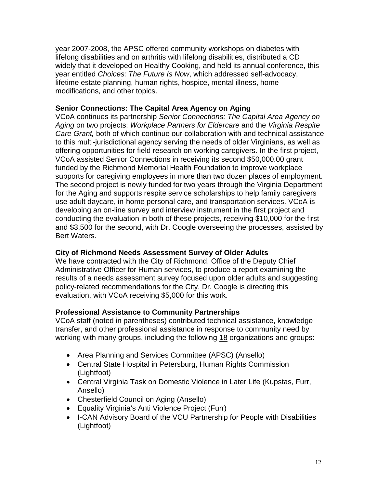year 2007-2008, the APSC offered community workshops on diabetes with lifelong disabilities and on arthritis with lifelong disabilities, distributed a CD widely that it developed on Healthy Cooking, and held its annual conference, this year entitled *Choices: The Future Is Now*, which addressed self-advocacy, lifetime estate planning, human rights, hospice, mental illness, home modifications, and other topics.

## **Senior Connections: The Capital Area Agency on Aging**

VCoA continues its partnership *Senior Connections: The Capital Area Agency on Aging* on two projects: *Workplace Partners for Eldercare* and the *Virginia Respite Care Grant,* both of which continue our collaboration with and technical assistance to this multi-jurisdictional agency serving the needs of older Virginians, as well as offering opportunities for field research on working caregivers. In the first project, VCoA assisted Senior Connections in receiving its second \$50,000.00 grant funded by the Richmond Memorial Health Foundation to improve workplace supports for caregiving employees in more than two dozen places of employment. The second project is newly funded for two years through the Virginia Department for the Aging and supports respite service scholarships to help family caregivers use adult daycare, in-home personal care, and transportation services. VCoA is developing an on-line survey and interview instrument in the first project and conducting the evaluation in both of these projects, receiving \$10,000 for the first and \$3,500 for the second, with Dr. Coogle overseeing the processes, assisted by Bert Waters.

## **City of Richmond Needs Assessment Survey of Older Adults**

We have contracted with the City of Richmond, Office of the Deputy Chief Administrative Officer for Human services, to produce a report examining the results of a needs assessment survey focused upon older adults and suggesting policy-related recommendations for the City. Dr. Coogle is directing this evaluation, with VCoA receiving \$5,000 for this work.

## **Professional Assistance to Community Partnerships**

VCoA staff (noted in parentheses) contributed technical assistance, knowledge transfer, and other professional assistance in response to community need by working with many groups, including the following 18 organizations and groups:

- Area Planning and Services Committee (APSC) (Ansello)
- Central State Hospital in Petersburg, Human Rights Commission (Lightfoot)
- Central Virginia Task on Domestic Violence in Later Life (Kupstas, Furr, Ansello)
- Chesterfield Council on Aging (Ansello)
- Equality Virginia's Anti Violence Project (Furr)
- I-CAN Advisory Board of the VCU Partnership for People with Disabilities (Lightfoot)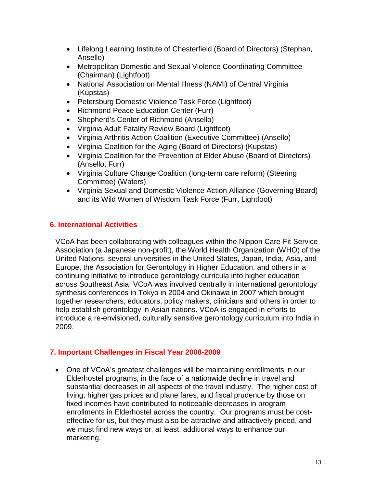- Lifelong Learning Institute of Chesterfield (Board of Directors) (Stephan, Ansello)
- Metropolitan Domestic and Sexual Violence Coordinating Committee (Chairman) (Lightfoot)
- National Association on Mental Illness (NAMI) of Central Virginia (Kupstas)
- Petersburg Domestic Violence Task Force (Lightfoot)
- Richmond Peace Education Center (Furr)
- Shepherd's Center of Richmond (Ansello)
- Virginia Adult Fatality Review Board (Lightfoot)
- Virginia Arthritis Action Coalition (Executive Committee) (Ansello)
- Virginia Coalition for the Aging (Board of Directors) (Kupstas)
- Virginia Coalition for the Prevention of Elder Abuse (Board of Directors) (Ansello, Furr)
- Virginia Culture Change Coalition (long-term care reform) (Steering Committee) (Waters)
- Virginia Sexual and Domestic Violence Action Alliance (Governing Board) and its Wild Women of Wisdom Task Force (Furr, Lightfoot)

# **6. International Activities**

VCoA has been collaborating with colleagues within the Nippon Care-Fit Service Association (a Japanese non-profit), the World Health Organization (WHO) of the United Nations, several universities in the United States, Japan, India, Asia, and Europe, the Association for Gerontology in Higher Education, and others in a continuing initiative to introduce gerontology curricula into higher education across Southeast Asia. VCoA was involved centrally in international gerontology synthesis conferences in Tokyo in 2004 and Okinawa in 2007 which brought together researchers, educators, policy makers, clinicians and others in order to help establish gerontology in Asian nations. VCoA is engaged in efforts to introduce a re-envisioned, culturally sensitive gerontology curriculum into India in 2009.

## **7. Important Challenges in Fiscal Year 2008-2009**

• One of VCoA's greatest challenges will be maintaining enrollments in our Elderhostel programs, in the face of a nationwide decline in travel and substantial decreases in all aspects of the travel industry. The higher cost of living, higher gas prices and plane fares, and fiscal prudence by those on fixed incomes have contributed to noticeable decreases in program enrollments in Elderhostel across the country. Our programs must be costeffective for us, but they must also be attractive and attractively priced, and we must find new ways or, at least, additional ways to enhance our marketing.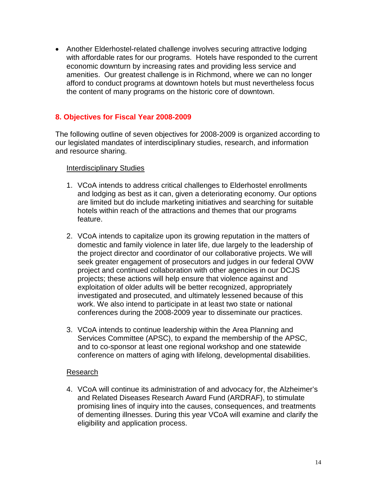• Another Elderhostel-related challenge involves securing attractive lodging with affordable rates for our programs. Hotels have responded to the current economic downturn by increasing rates and providing less service and amenities. Our greatest challenge is in Richmond, where we can no longer afford to conduct programs at downtown hotels but must nevertheless focus the content of many programs on the historic core of downtown.

## **8. Objectives for Fiscal Year 2008-2009**

The following outline of seven objectives for 2008-2009 is organized according to our legislated mandates of interdisciplinary studies, research, and information and resource sharing.

#### Interdisciplinary Studies

- 1. VCoA intends to address critical challenges to Elderhostel enrollments and lodging as best as it can, given a deteriorating economy. Our options are limited but do include marketing initiatives and searching for suitable hotels within reach of the attractions and themes that our programs feature.
- 2. VCoA intends to capitalize upon its growing reputation in the matters of domestic and family violence in later life, due largely to the leadership of the project director and coordinator of our collaborative projects. We will seek greater engagement of prosecutors and judges in our federal OVW project and continued collaboration with other agencies in our DCJS projects; these actions will help ensure that violence against and exploitation of older adults will be better recognized, appropriately investigated and prosecuted, and ultimately lessened because of this work. We also intend to participate in at least two state or national conferences during the 2008-2009 year to disseminate our practices.
- 3. VCoA intends to continue leadership within the Area Planning and Services Committee (APSC), to expand the membership of the APSC, and to co-sponsor at least one regional workshop and one statewide conference on matters of aging with lifelong, developmental disabilities.

#### Research

4. VCoA will continue its administration of and advocacy for, the Alzheimer's and Related Diseases Research Award Fund (ARDRAF), to stimulate promising lines of inquiry into the causes, consequences, and treatments of dementing illnesses. During this year VCoA will examine and clarify the eligibility and application process.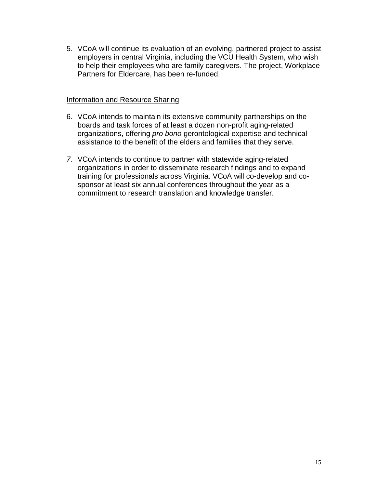5. VCoA will continue its evaluation of an evolving, partnered project to assist employers in central Virginia, including the VCU Health System, who wish to help their employees who are family caregivers. The project, Workplace Partners for Eldercare, has been re-funded.

#### Information and Resource Sharing

- 6. VCoA intends to maintain its extensive community partnerships on the boards and task forces of at least a dozen non-profit aging-related organizations, offering *pro bono* gerontological expertise and technical assistance to the benefit of the elders and families that they serve.
- *7.* VCoA intends to continue to partner with statewide aging-related organizations in order to disseminate research findings and to expand training for professionals across Virginia. VCoA will co-develop and cosponsor at least six annual conferences throughout the year as a commitment to research translation and knowledge transfer.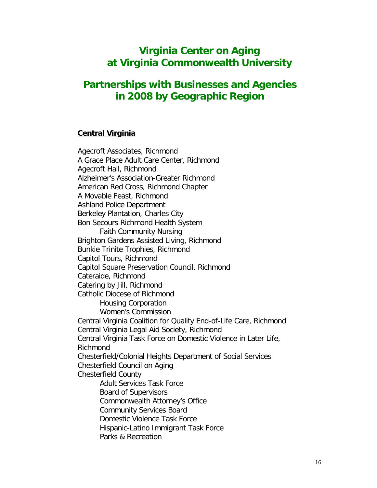# **Virginia Center on Aging at Virginia Commonwealth University**

# **Partnerships with Businesses and Agencies in 2008 by Geographic Region**

#### **Central Virginia**

Agecroft Associates, Richmond A Grace Place Adult Care Center, Richmond Agecroft Hall, Richmond Alzheimer's Association-Greater Richmond American Red Cross, Richmond Chapter A Movable Feast, Richmond Ashland Police Department Berkeley Plantation, Charles City Bon Secours Richmond Health System Faith Community Nursing Brighton Gardens Assisted Living, Richmond Bunkie Trinite Trophies, Richmond Capitol Tours, Richmond Capitol Square Preservation Council, Richmond Cateraide, Richmond Catering by Jill, Richmond Catholic Diocese of Richmond Housing Corporation Women's Commission Central Virginia Coalition for Quality End-of-Life Care, Richmond Central Virginia Legal Aid Society, Richmond Central Virginia Task Force on Domestic Violence in Later Life, Richmond Chesterfield/Colonial Heights Department of Social Services Chesterfield Council on Aging Chesterfield County Adult Services Task Force Board of Supervisors Commonwealth Attorney's Office Community Services Board Domestic Violence Task Force Hispanic-Latino Immigrant Task Force Parks & Recreation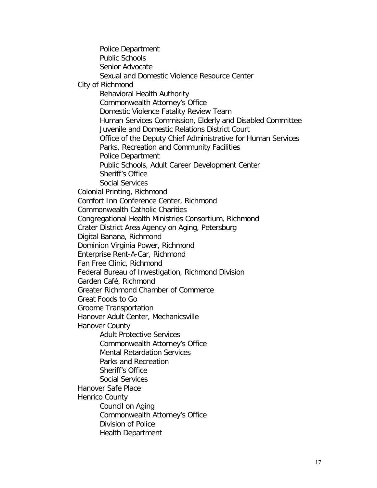Police Department Public Schools Senior Advocate Sexual and Domestic Violence Resource Center City of Richmond Behavioral Health Authority Commonwealth Attorney's Office Domestic Violence Fatality Review Team Human Services Commission, Elderly and Disabled Committee Juvenile and Domestic Relations District Court Office of the Deputy Chief Administrative for Human Services Parks, Recreation and Community Facilities Police Department Public Schools, Adult Career Development Center Sheriff's Office Social Services Colonial Printing, Richmond Comfort Inn Conference Center, Richmond Commonwealth Catholic Charities Congregational Health Ministries Consortium, Richmond Crater District Area Agency on Aging, Petersburg Digital Banana, Richmond Dominion Virginia Power, Richmond Enterprise Rent-A-Car, Richmond Fan Free Clinic, Richmond Federal Bureau of Investigation, Richmond Division Garden Café, Richmond Greater Richmond Chamber of Commerce Great Foods to Go Groome Transportation Hanover Adult Center, Mechanicsville Hanover County Adult Protective Services Commonwealth Attorney's Office Mental Retardation Services Parks and Recreation Sheriff's Office Social Services Hanover Safe Place Henrico County Council on Aging Commonwealth Attorney's Office Division of Police Health Department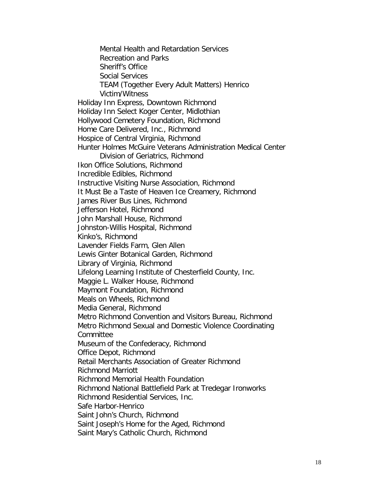Mental Health and Retardation Services Recreation and Parks Sheriff's Office Social Services TEAM (Together Every Adult Matters) Henrico Victim/Witness Holiday Inn Express, Downtown Richmond Holiday Inn Select Koger Center, Midlothian Hollywood Cemetery Foundation, Richmond Home Care Delivered, Inc., Richmond Hospice of Central Virginia, Richmond Hunter Holmes McGuire Veterans Administration Medical Center Division of Geriatrics, Richmond Ikon Office Solutions, Richmond Incredible Edibles, Richmond Instructive Visiting Nurse Association, Richmond It Must Be a Taste of Heaven Ice Creamery, Richmond James River Bus Lines, Richmond Jefferson Hotel, Richmond John Marshall House, Richmond Johnston-Willis Hospital, Richmond Kinko's, Richmond Lavender Fields Farm, Glen Allen Lewis Ginter Botanical Garden, Richmond Library of Virginia, Richmond Lifelong Learning Institute of Chesterfield County, Inc. Maggie L. Walker House, Richmond Maymont Foundation, Richmond Meals on Wheels, Richmond Media General, Richmond Metro Richmond Convention and Visitors Bureau, Richmond Metro Richmond Sexual and Domestic Violence Coordinating Committee Museum of the Confederacy, Richmond Office Depot, Richmond Retail Merchants Association of Greater Richmond Richmond Marriott Richmond Memorial Health Foundation Richmond National Battlefield Park at Tredegar Ironworks Richmond Residential Services, Inc. Safe Harbor-Henrico Saint John's Church, Richmond Saint Joseph's Home for the Aged, Richmond Saint Mary's Catholic Church, Richmond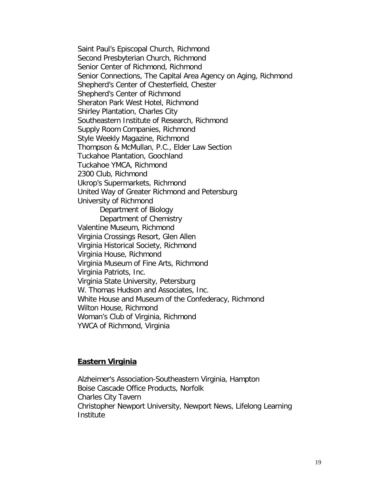Saint Paul's Episcopal Church, Richmond Second Presbyterian Church, Richmond Senior Center of Richmond, Richmond Senior Connections, The Capital Area Agency on Aging, Richmond Shepherd's Center of Chesterfield, Chester Shepherd's Center of Richmond Sheraton Park West Hotel, Richmond Shirley Plantation, Charles City Southeastern Institute of Research, Richmond Supply Room Companies, Richmond Style Weekly Magazine, Richmond Thompson & McMullan, P.C., Elder Law Section Tuckahoe Plantation, Goochland Tuckahoe YMCA, Richmond 2300 Club, Richmond Ukrop's Supermarkets, Richmond United Way of Greater Richmond and Petersburg University of Richmond Department of Biology Department of Chemistry Valentine Museum, Richmond Virginia Crossings Resort, Glen Allen Virginia Historical Society, Richmond Virginia House, Richmond Virginia Museum of Fine Arts, Richmond Virginia Patriots, Inc. Virginia State University, Petersburg W. Thomas Hudson and Associates, Inc. White House and Museum of the Confederacy, Richmond Wilton House, Richmond Woman's Club of Virginia, Richmond YWCA of Richmond, Virginia

#### **Eastern Virginia**

Alzheimer's Association-Southeastern Virginia, Hampton Boise Cascade Office Products, Norfolk Charles City Tavern Christopher Newport University, Newport News, Lifelong Learning Institute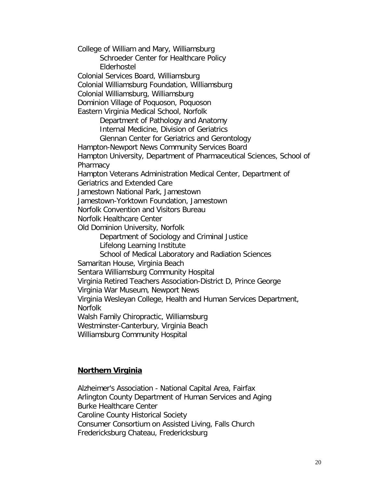College of William and Mary, Williamsburg Schroeder Center for Healthcare Policy Elderhostel Colonial Services Board, Williamsburg Colonial Williamsburg Foundation, Williamsburg Colonial Williamsburg, Williamsburg Dominion Village of Poquoson, Poquoson Eastern Virginia Medical School, Norfolk Department of Pathology and Anatomy Internal Medicine, Division of Geriatrics Glennan Center for Geriatrics and Gerontology Hampton-Newport News Community Services Board Hampton University, Department of Pharmaceutical Sciences, School of **Pharmacy** Hampton Veterans Administration Medical Center, Department of Geriatrics and Extended Care Jamestown National Park, Jamestown Jamestown-Yorktown Foundation, Jamestown Norfolk Convention and Visitors Bureau Norfolk Healthcare Center Old Dominion University, Norfolk Department of Sociology and Criminal Justice Lifelong Learning Institute School of Medical Laboratory and Radiation Sciences Samaritan House, Virginia Beach Sentara Williamsburg Community Hospital Virginia Retired Teachers Association-District D, Prince George Virginia War Museum, Newport News Virginia Wesleyan College, Health and Human Services Department, Norfolk Walsh Family Chiropractic, Williamsburg Westminster-Canterbury, Virginia Beach Williamsburg Community Hospital

#### **Northern Virginia**

Alzheimer's Association - National Capital Area, Fairfax Arlington County Department of Human Services and Aging Burke Healthcare Center Caroline County Historical Society Consumer Consortium on Assisted Living, Falls Church Fredericksburg Chateau, Fredericksburg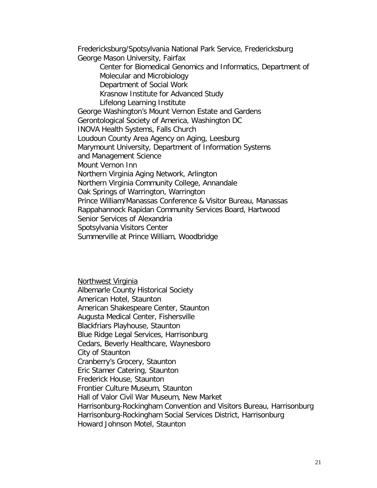Fredericksburg/Spotsylvania National Park Service, Fredericksburg George Mason University, Fairfax Center for Biomedical Genomics and Informatics, Department of Molecular and Microbiology Department of Social Work Krasnow Institute for Advanced Study Lifelong Learning Institute George Washington's Mount Vernon Estate and Gardens Gerontological Society of America, Washington DC INOVA Health Systems, Falls Church Loudoun County Area Agency on Aging, Leesburg Marymount University, Department of Information Systems and Management Science Mount Vernon Inn Northern Virginia Aging Network, Arlington Northern Virginia Community College, Annandale Oak Springs of Warrington, Warrington Prince William/Manassas Conference & Visitor Bureau, Manassas Rappahannock Rapidan Community Services Board, Hartwood Senior Services of Alexandria Spotsylvania Visitors Center Summerville at Prince William, Woodbridge

Northwest Virginia Albemarle County Historical Society American Hotel, Staunton American Shakespeare Center, Staunton Augusta Medical Center, Fishersville Blackfriars Playhouse, Staunton Blue Ridge Legal Services, Harrisonburg Cedars, Beverly Healthcare, Waynesboro City of Staunton Cranberry's Grocery, Staunton Eric Stamer Catering, Staunton Frederick House, Staunton Frontier Culture Museum, Staunton Hall of Valor Civil War Museum, New Market Harrisonburg-Rockingham Convention and Visitors Bureau, Harrisonburg Harrisonburg-Rockingham Social Services District, Harrisonburg Howard Johnson Motel, Staunton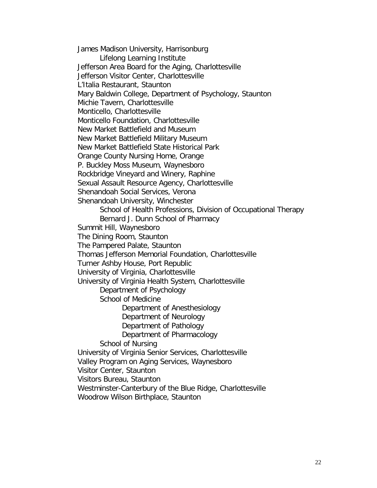James Madison University, Harrisonburg Lifelong Learning Institute Jefferson Area Board for the Aging, Charlottesville Jefferson Visitor Center, Charlottesville L'Italia Restaurant, Staunton Mary Baldwin College, Department of Psychology, Staunton Michie Tavern, Charlottesville Monticello, Charlottesville Monticello Foundation, Charlottesville New Market Battlefield and Museum New Market Battlefield Military Museum New Market Battlefield State Historical Park Orange County Nursing Home, Orange P. Buckley Moss Museum, Waynesboro Rockbridge Vineyard and Winery, Raphine Sexual Assault Resource Agency, Charlottesville Shenandoah Social Services, Verona Shenandoah University, Winchester School of Health Professions, Division of Occupational Therapy Bernard J. Dunn School of Pharmacy Summit Hill, Waynesboro The Dining Room, Staunton The Pampered Palate, Staunton Thomas Jefferson Memorial Foundation, Charlottesville Turner Ashby House, Port Republic University of Virginia, Charlottesville University of Virginia Health System, Charlottesville Department of Psychology School of Medicine Department of Anesthesiology Department of Neurology Department of Pathology Department of Pharmacology School of Nursing University of Virginia Senior Services, Charlottesville Valley Program on Aging Services, Waynesboro Visitor Center, Staunton Visitors Bureau, Staunton Westminster-Canterbury of the Blue Ridge, Charlottesville

Woodrow Wilson Birthplace, Staunton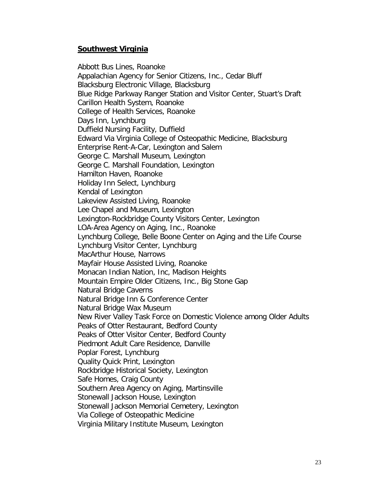## **Southwest Virginia**

Abbott Bus Lines, Roanoke Appalachian Agency for Senior Citizens, Inc., Cedar Bluff Blacksburg Electronic Village, Blacksburg Blue Ridge Parkway Ranger Station and Visitor Center, Stuart's Draft Carillon Health System, Roanoke College of Health Services, Roanoke Days Inn, Lynchburg Duffield Nursing Facility, Duffield Edward Via Virginia College of Osteopathic Medicine, Blacksburg Enterprise Rent-A-Car, Lexington and Salem George C. Marshall Museum, Lexington George C. Marshall Foundation, Lexington Hamilton Haven, Roanoke Holiday Inn Select, Lynchburg Kendal of Lexington Lakeview Assisted Living, Roanoke Lee Chapel and Museum, Lexington Lexington-Rockbridge County Visitors Center, Lexington LOA-Area Agency on Aging, Inc., Roanoke Lynchburg College, Belle Boone Center on Aging and the Life Course Lynchburg Visitor Center, Lynchburg MacArthur House, Narrows Mayfair House Assisted Living, Roanoke Monacan Indian Nation, Inc, Madison Heights Mountain Empire Older Citizens, Inc., Big Stone Gap Natural Bridge Caverns Natural Bridge Inn & Conference Center Natural Bridge Wax Museum New River Valley Task Force on Domestic Violence among Older Adults Peaks of Otter Restaurant, Bedford County Peaks of Otter Visitor Center, Bedford County Piedmont Adult Care Residence, Danville Poplar Forest, Lynchburg Quality Quick Print, Lexington Rockbridge Historical Society, Lexington Safe Homes, Craig County Southern Area Agency on Aging, Martinsville Stonewall Jackson House, Lexington Stonewall Jackson Memorial Cemetery, Lexington Via College of Osteopathic Medicine Virginia Military Institute Museum, Lexington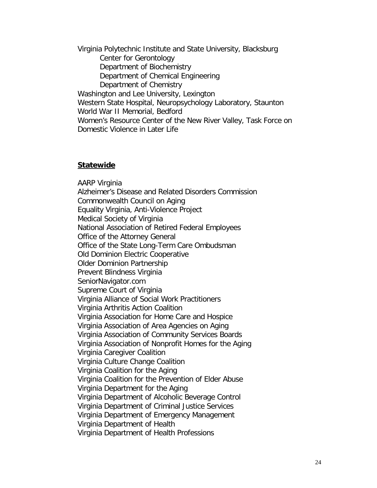Virginia Polytechnic Institute and State University, Blacksburg Center for Gerontology Department of Biochemistry Department of Chemical Engineering Department of Chemistry Washington and Lee University, Lexington Western State Hospital, Neuropsychology Laboratory, Staunton World War II Memorial, Bedford Women's Resource Center of the New River Valley, Task Force on Domestic Violence in Later Life

#### **Statewide**

AARP Virginia Alzheimer's Disease and Related Disorders Commission Commonwealth Council on Aging Equality Virginia, Anti-Violence Project Medical Society of Virginia National Association of Retired Federal Employees Office of the Attorney General Office of the State Long-Term Care Ombudsman Old Dominion Electric Cooperative Older Dominion Partnership Prevent Blindness Virginia SeniorNavigator.com Supreme Court of Virginia Virginia Alliance of Social Work Practitioners Virginia Arthritis Action Coalition Virginia Association for Home Care and Hospice Virginia Association of Area Agencies on Aging Virginia Association of Community Services Boards Virginia Association of Nonprofit Homes for the Aging Virginia Caregiver Coalition Virginia Culture Change Coalition Virginia Coalition for the Aging Virginia Coalition for the Prevention of Elder Abuse Virginia Department for the Aging Virginia Department of Alcoholic Beverage Control Virginia Department of Criminal Justice Services Virginia Department of Emergency Management Virginia Department of Health Virginia Department of Health Professions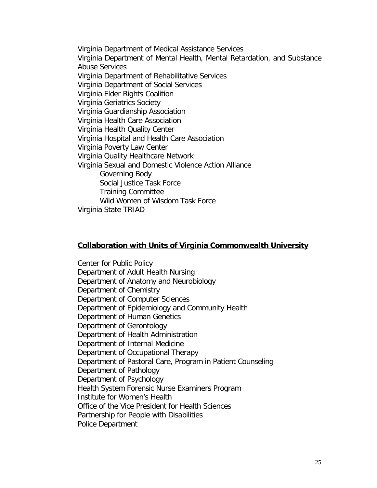Virginia Department of Medical Assistance Services Virginia Department of Mental Health, Mental Retardation, and Substance Abuse Services Virginia Department of Rehabilitative Services Virginia Department of Social Services Virginia Elder Rights Coalition Virginia Geriatrics Society Virginia Guardianship Association Virginia Health Care Association Virginia Health Quality Center Virginia Hospital and Health Care Association Virginia Poverty Law Center Virginia Quality Healthcare Network Virginia Sexual and Domestic Violence Action Alliance Governing Body Social Justice Task Force Training Committee Wild Women of Wisdom Task Force Virginia State TRIAD

#### **Collaboration with Units of Virginia Commonwealth University**

Center for Public Policy Department of Adult Health Nursing Department of Anatomy and Neurobiology Department of Chemistry Department of Computer Sciences Department of Epidemiology and Community Health Department of Human Genetics Department of Gerontology Department of Health Administration Department of Internal Medicine Department of Occupational Therapy Department of Pastoral Care, Program in Patient Counseling Department of Pathology Department of Psychology Health System Forensic Nurse Examiners Program Institute for Women's Health Office of the Vice President for Health Sciences Partnership for People with Disabilities Police Department